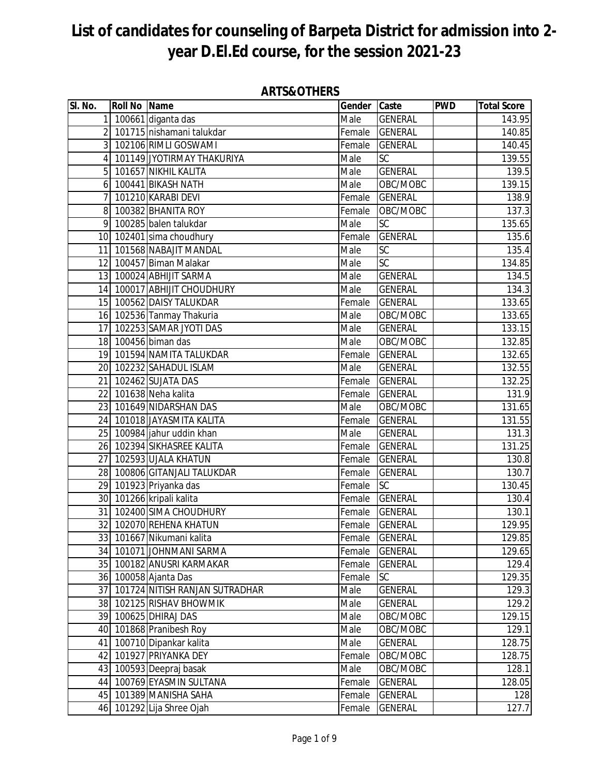| SI. No.         | Roll No Name | ៶៲៴៳៴៲៲៲៲៲៶៴                   | Gender | Caste          | <b>PWD</b> | <b>Total Score</b> |
|-----------------|--------------|--------------------------------|--------|----------------|------------|--------------------|
| 1               |              | 100661 diganta das             | Male   | <b>GENERAL</b> |            | 143.95             |
| 2               |              | 101715 nishamani talukdar      | Female | <b>GENERAL</b> |            | 140.85             |
| 3 <sup>1</sup>  |              | 102106 RIMLI GOSWAMI           | Female | <b>GENERAL</b> |            | 140.45             |
| 4               |              | 101149 JYOTIRMAY THAKURIYA     | Male   | <b>SC</b>      |            | 139.55             |
| 5               |              | 101657 NIKHIL KALITA           | Male   | <b>GENERAL</b> |            | 139.5              |
| <b>6</b>        |              | 100441 BIKASH NATH             | Male   | OBC/MOBC       |            | 139.15             |
| 7               |              | 101210 KARABI DEVI             | Female | <b>GENERAL</b> |            | 138.9              |
| 8 <sup>1</sup>  |              | 100382 BHANITA ROY             | Female | OBC/MOBC       |            | 137.3              |
| 9               |              | 100285 balen talukdar          | Male   | <b>SC</b>      |            | 135.65             |
| 10 <sup>1</sup> |              | 102401 sima choudhury          | Female | <b>GENERAL</b> |            | 135.6              |
| 11              |              | 101568 NABAJIT MANDAL          | Male   | <b>SC</b>      |            | 135.4              |
|                 |              | 12 100457 Biman Malakar        | Male   | SC             |            | 134.85             |
|                 |              | 13 100024 ABHIJIT SARMA        | Male   | <b>GENERAL</b> |            | 134.5              |
| 14              |              | 100017 ABHIJIT CHOUDHURY       | Male   | <b>GENERAL</b> |            | 134.3              |
|                 |              | 15 100562 DAISY TALUKDAR       | Female | <b>GENERAL</b> |            | 133.65             |
|                 |              | 16 102536 Tanmay Thakuria      | Male   | OBC/MOBC       |            | 133.65             |
| 17              |              | 102253 SAMAR JYOTI DAS         | Male   | <b>GENERAL</b> |            | 133.15             |
|                 |              | 18 100456 biman das            | Male   | OBC/MOBC       |            | 132.85             |
| 19              |              | 101594 NAMITA TALUKDAR         | Female | <b>GENERAL</b> |            | 132.65             |
|                 |              | 20 102232 SAHADUL ISLAM        | Male   | <b>GENERAL</b> |            | 132.55             |
| 21              |              | 102462 SUJATA DAS              | Female | <b>GENERAL</b> |            | 132.25             |
| 22              |              | 101638 Neha kalita             | Female | <b>GENERAL</b> |            | 131.9              |
| 23              |              | 101649 NIDARSHAN DAS           | Male   | OBC/MOBC       |            | 131.65             |
|                 |              | 24 101018 JAYASMITA KALITA     | Female | <b>GENERAL</b> |            | 131.55             |
|                 |              | 25 100984 jahur uddin khan     | Male   | <b>GENERAL</b> |            | 131.3              |
| 26              |              | 102394 SIKHASREE KALITA        | Female | <b>GENERAL</b> |            | 131.25             |
| 27              |              | 102593 UJALA KHATUN            | Female | <b>GENERAL</b> |            | 130.8              |
| 28              |              | 100806 GITANJALI TALUKDAR      | Female | <b>GENERAL</b> |            | 130.7              |
|                 |              | 29 101923 Priyanka das         | Female | <b>SC</b>      |            | 130.45             |
|                 |              | 30 101266 kripali kalita       | Female | <b>GENERAL</b> |            | 130.4              |
| 31              |              | 102400 SIMA CHOUDHURY          | Female | <b>GENERAL</b> |            | 130.1              |
| $\overline{3}2$ |              | 102070 REHENA KHATUN           | Female | <b>GENERAL</b> |            | 129.95             |
|                 |              | 33 101667 Nikumani kalita      | Female | <b>GENERAL</b> |            | 129.85             |
| 34              |              | 101071 JOHNMANI SARMA          | Female | <b>GENERAL</b> |            | 129.65             |
|                 |              | 35 100182 ANUSRI KARMAKAR      | Female | <b>GENERAL</b> |            | 129.4              |
|                 |              | 36 100058 Ajanta Das           | Female | <b>SC</b>      |            | 129.35             |
| 37              |              | 101724 NITISH RANJAN SUTRADHAR | Male   | <b>GENERAL</b> |            | 129.3              |
|                 |              | 38 102125 RISHAV BHOWMIK       | Male   | <b>GENERAL</b> |            | 129.2              |
|                 |              | 39 100625 DHIRAJ DAS           | Male   | OBC/MOBC       |            | 129.15             |
|                 |              | 40 101868 Pranibesh Roy        | Male   | OBC/MOBC       |            | 129.1              |
| 41              |              | 100710 Dipankar kalita         | Male   | <b>GENERAL</b> |            | 128.75             |
| 42              |              | 101927 PRIYANKA DEY            | Female | OBC/MOBC       |            | 128.75             |
| 43              |              | 100593 Deepraj basak           | Male   | OBC/MOBC       |            | 128.1              |
|                 |              | 44 100769 EYASMIN SULTANA      | Female | <b>GENERAL</b> |            | 128.05             |
|                 |              | 45 101389 MANISHA SAHA         | Female | <b>GENERAL</b> |            | 128                |
|                 |              | 46 101292 Lija Shree Ojah      | Female | <b>GENERAL</b> |            | 127.7              |

#### **ARTS&OTHERS**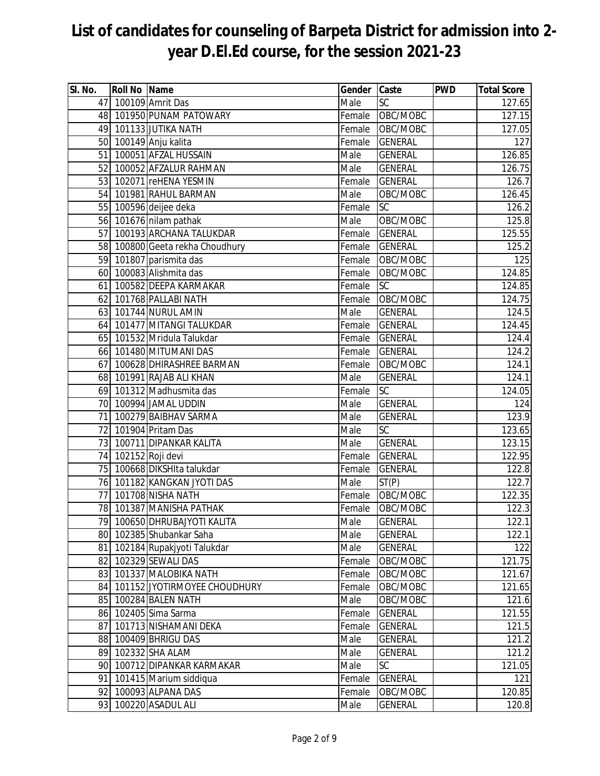| SI. No. | <b>Roll No Name</b> |                                 | Gender | Caste          | <b>PWD</b> | <b>Total Score</b> |
|---------|---------------------|---------------------------------|--------|----------------|------------|--------------------|
|         |                     | 47 100109 Amrit Das             | Male   | SC             |            | 127.65             |
|         |                     | 48 101950 PUNAM PATOWARY        | Female | OBC/MOBC       |            | 127.15             |
| 49      |                     | 101133 JUTIKA NATH              | Female | OBC/MOBC       |            | 127.05             |
| 50      |                     | 100149 Anju kalita              | Female | <b>GENERAL</b> |            | 127                |
| 51      |                     | 100051 AFZAL HUSSAIN            | Male   | <b>GENERAL</b> |            | 126.85             |
| 52      |                     | 100052 AFZALUR RAHMAN           | Male   | <b>GENERAL</b> |            | 126.75             |
| 53      |                     | 102071 reHENA YESMIN            | Female | <b>GENERAL</b> |            | 126.7              |
|         |                     | 54 101981 RAHUL BARMAN          | Male   | OBC/MOBC       |            | 126.45             |
|         |                     | 55 100596 deijee deka           | Female | <b>SC</b>      |            | 126.2              |
|         |                     | 56 101676 nilam pathak          | Male   | OBC/MOBC       |            | 125.8              |
| 57      |                     | 100193 ARCHANA TALUKDAR         | Female | <b>GENERAL</b> |            | 125.55             |
| 58      |                     | 100800 Geeta rekha Choudhury    | Female | <b>GENERAL</b> |            | 125.2              |
| 59      |                     | 101807 parismita das            | Female | OBC/MOBC       |            | 125                |
|         |                     | 60 100083 Alishmita das         | Female | OBC/MOBC       |            | 124.85             |
|         |                     | 61 100582 DEEPA KARMAKAR        | Female | SC             |            | 124.85             |
|         |                     | 62 101768 PALLABI NATH          | Female | OBC/MOBC       |            | 124.75             |
|         |                     | 63 101744 NURUL AMIN            | Male   | <b>GENERAL</b> |            | 124.5              |
|         |                     | 64 101477 MITANGI TALUKDAR      | Female | <b>GENERAL</b> |            | 124.45             |
|         |                     | 65 101532 Mridula Talukdar      | Female | <b>GENERAL</b> |            | 124.4              |
|         |                     | 66 101480 MITUMANI DAS          | Female | <b>GENERAL</b> |            | 124.2              |
| 67      |                     | 100628 DHIRASHREE BARMAN        | Female | OBC/MOBC       |            | 124.1              |
|         |                     | 68 101991 RAJAB ALI KHAN        | Male   | <b>GENERAL</b> |            | 124.1              |
|         |                     | 69 101312 Madhusmita das        | Female | SC             |            | 124.05             |
|         |                     | 70 100994 JAMAL UDDIN           | Male   | <b>GENERAL</b> |            | 124                |
| 71      |                     | 100279 BAIBHAV SARMA            | Male   | <b>GENERAL</b> |            | 123.9              |
| 72      |                     | 101904 Pritam Das               | Male   | <b>SC</b>      |            | 123.65             |
| 73      |                     | 100711 DIPANKAR KALITA          | Male   | <b>GENERAL</b> |            | 123.15             |
|         |                     | 74 102152 Roji devi             | Female | <b>GENERAL</b> |            | 122.95             |
|         |                     | 75 100668 DIKSHIta talukdar     | Female | <b>GENERAL</b> |            | 122.8              |
| 76      |                     | 101182 KANGKAN JYOTI DAS        | Male   | ST(P)          |            | 122.7              |
| 77      |                     | 101708 NISHA NATH               | Female | OBC/MOBC       |            | 122.35             |
| 78      |                     | 101387 MANISHA PATHAK           | Female | OBC/MOBC       |            | 122.3              |
|         |                     | 79 100650 DHRUBAJYOTI KALITA    | Male   | <b>GENERAL</b> |            | 122.1              |
|         |                     | 80 102385 Shubankar Saha        | Male   | <b>GENERAL</b> |            | 122.1              |
|         |                     | 81 102184 Rupakjyoti Talukdar   | Male   | <b>GENERAL</b> |            | 122                |
|         |                     | 82 102329 SEWALI DAS            | Female | OBC/MOBC       |            | 121.75             |
|         |                     | 83 101337 MALOBIKA NATH         | Female | OBC/MOBC       |            | 121.67             |
|         |                     | 84 101152 JYOTIRMOYEE CHOUDHURY | Female | OBC/MOBC       |            | 121.65             |
|         |                     | 85 100284 BALEN NATH            | Male   | OBC/MOBC       |            | 121.6              |
|         |                     | 86 102405 Sima Sarma            | Female | <b>GENERAL</b> |            | 121.55             |
|         |                     | 87 101713 NISHAMANI DEKA        | Female | <b>GENERAL</b> |            | 121.5              |
| 88      |                     | 100409 BHRIGU DAS               | Male   | <b>GENERAL</b> |            | 121.2              |
| 89      |                     | 102332 SHA ALAM                 | Male   | <b>GENERAL</b> |            | 121.2              |
| 90      |                     | 100712 DIPANKAR KARMAKAR        | Male   | <b>SC</b>      |            | 121.05             |
| 91      |                     | 101415 Marium siddiqua          | Female | <b>GENERAL</b> |            | 121                |
| 92      |                     | 100093 ALPANA DAS               | Female | OBC/MOBC       |            | 120.85             |
| 93      |                     | 100220 ASADUL ALI               | Male   | GENERAL        |            | 120.8              |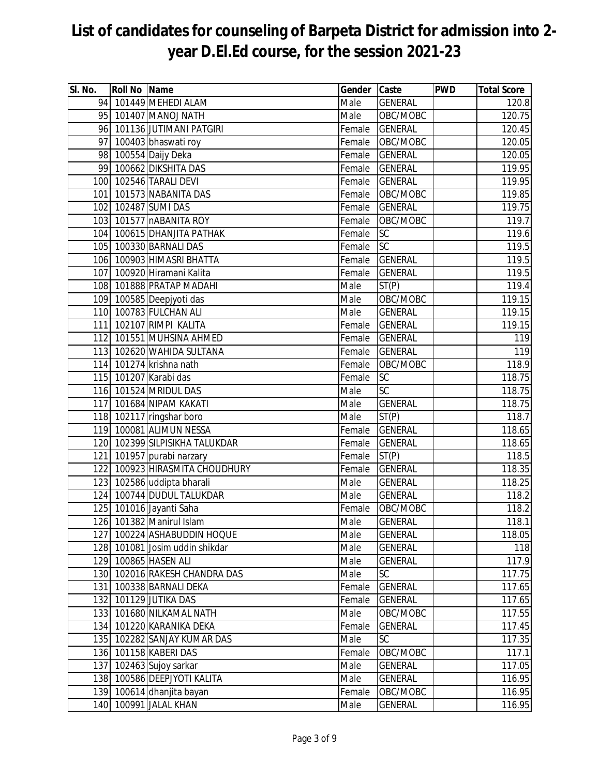| SI. No. | Roll No Name |                                | Gender | Caste           | <b>PWD</b> | <b>Total Score</b> |
|---------|--------------|--------------------------------|--------|-----------------|------------|--------------------|
|         |              | 94 101449 MEHEDI ALAM          | Male   | <b>GENERAL</b>  |            | 120.8              |
|         |              | 95 101407 MANOJ NATH           | Male   | OBC/MOBC        |            | 120.75             |
|         |              | 96 101136 JUTIMANI PATGIRI     | Female | <b>GENERAL</b>  |            | 120.45             |
| 97      |              | 100403 bhaswati roy            | Female | OBC/MOBC        |            | 120.05             |
|         |              | 98 100554 Daijy Deka           | Female | <b>GENERAL</b>  |            | 120.05             |
|         |              | 99 100662 DIKSHITA DAS         | Female | <b>GENERAL</b>  |            | 119.95             |
|         |              | 100 102546 TARALI DEVI         | Female | <b>GENERAL</b>  |            | 119.95             |
|         |              | 101 101573 NABANITA DAS        | Female | OBC/MOBC        |            | 119.85             |
|         |              | 102 102487 SUMI DAS            | Female | <b>GENERAL</b>  |            | 119.75             |
|         |              | 103 101577 nABANITA ROY        | Female | OBC/MOBC        |            | 119.7              |
|         |              | 104 100615 DHANJITA PATHAK     | Female | <b>SC</b>       |            | 119.6              |
|         |              | 105 100330 BARNALI DAS         | Female | <b>SC</b>       |            | 119.5              |
|         |              | 106 100903 HIMASRI BHATTA      | Female | <b>GENERAL</b>  |            | 119.5              |
|         |              | 107 100920 Hiramani Kalita     | Female | <b>GENERAL</b>  |            | 119.5              |
|         |              | 108 101888 PRATAP MADAHI       | Male   | ST(P)           |            | 119.4              |
|         |              | 109 100585 Deepjyoti das       | Male   | OBC/MOBC        |            | 119.15             |
|         |              | 110 100783 FULCHAN ALI         | Male   | <b>GENERAL</b>  |            | 119.15             |
|         |              | 111 102107 RIMPI KALITA        | Female | <b>GENERAL</b>  |            | 119.15             |
|         |              | 112 101551 MUHSINA AHMED       | Female | <b>GENERAL</b>  |            | 119                |
|         |              | 113 102620 WAHIDA SULTANA      | Female | <b>GENERAL</b>  |            | 119                |
|         |              | 114 101274 krishna nath        | Female | OBC/MOBC        |            | 118.9              |
|         |              | 115 101207 Karabi das          | Female | <b>SC</b>       |            | 118.75             |
|         |              | 116 101524 MRIDUL DAS          | Male   | SC              |            | 118.75             |
|         |              | 117 101684 NIPAM KAKATI        | Male   | <b>GENERAL</b>  |            | 118.75             |
|         |              | 118 102117 ringshar boro       | Male   | ST(P)           |            | 118.7              |
|         |              | 119 100081 ALIMUN NESSA        | Female | <b>GENERAL</b>  |            | 118.65             |
|         |              | 120 102399 SILPISIKHA TALUKDAR | Female | <b>GENERAL</b>  |            | 118.65             |
|         |              | 121 101957 purabi narzary      | Female | ST(P)           |            | 118.5              |
| 122     |              | 100923 HIRASMITA CHOUDHURY     | Female | <b>GENERAL</b>  |            | 118.35             |
|         |              | 123 102586 uddipta bharali     | Male   | <b>GENERAL</b>  |            | 118.25             |
|         |              | 124 100744 DUDUL TALUKDAR      | Male   | <b>GENERAL</b>  |            | 118.2              |
|         |              | 125 101016 Jayanti Saha        | Female | OBC/MOBC        |            | 118.2              |
|         |              | 126 101382 Manirul Islam       | Male   | <b>GENERAL</b>  |            | 118.1              |
| 127     |              | 100224 ASHABUDDIN HOQUE        | Male   | <b>GENERAL</b>  |            | 118.05             |
|         |              | 128 101081 Josim uddin shikdar | Male   | <b>GENERAL</b>  |            | 118                |
|         |              | 129 100865 HASEN ALI           | Male   | <b>GENERAL</b>  |            | 117.9              |
|         |              | 130 102016 RAKESH CHANDRA DAS  | Male   | $\overline{SC}$ |            | 117.75             |
| 131     |              | 100338 BARNALI DEKA            | Female | <b>GENERAL</b>  |            | 117.65             |
|         |              | 132 101129 JUTIKA DAS          | Female | <b>GENERAL</b>  |            | 117.65             |
|         |              | 133 101680 NILKAMAL NATH       | Male   | OBC/MOBC        |            | 117.55             |
|         |              | 134 101220 KARANIKA DEKA       | Female | <b>GENERAL</b>  |            | 117.45             |
| 135     |              | 102282 SANJAY KUMAR DAS        | Male   | SC              |            | 117.35             |
| 136     |              | 101158 KABERI DAS              | Female | OBC/MOBC        |            | 117.1              |
| 137     |              | 102463 Sujoy sarkar            | Male   | <b>GENERAL</b>  |            | 117.05             |
| 138     |              | 100586 DEEPJYOTI KALITA        | Male   | <b>GENERAL</b>  |            | 116.95             |
| 139     |              | 100614 dhanjita bayan          | Female | OBC/MOBC        |            | 116.95             |
| 140     |              | 100991 JALAL KHAN              | Male   | <b>GENERAL</b>  |            | 116.95             |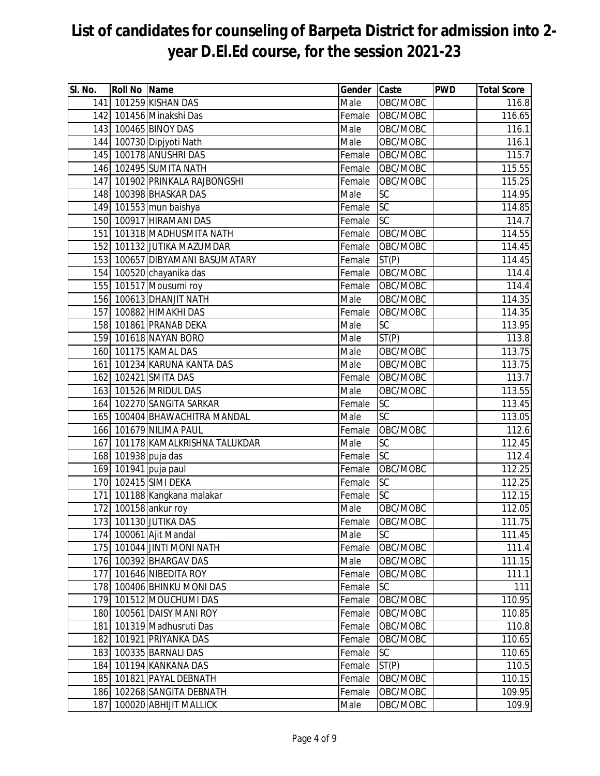| SI. No. | Roll No Name        |                                              | Gender Caste     |                       | <b>PWD</b> | <b>Total Score</b> |
|---------|---------------------|----------------------------------------------|------------------|-----------------------|------------|--------------------|
|         |                     | 141 101259 KISHAN DAS                        | Male             | OBC/MOBC              |            | 116.8              |
|         |                     | 142 101456 Minakshi Das                      | Female           | OBC/MOBC              |            | 116.65             |
|         |                     | 143 100465 BINOY DAS                         | Male             | OBC/MOBC              |            | 116.1              |
|         |                     | 144 100730 Dipjyoti Nath                     | Male             | OBC/MOBC              |            | 116.1              |
|         |                     | 145 100178 ANUSHRI DAS                       | Female           | OBC/MOBC              |            | 115.7              |
|         |                     | 146 102495 SUMITA NATH                       | Female           | OBC/MOBC              |            | 115.55             |
|         |                     | 147 101902 PRINKALA RAJBONGSHI               | Female           | OBC/MOBC              |            | 115.25             |
|         |                     | 148 100398 BHASKAR DAS                       | Male             | <b>SC</b>             |            | 114.95             |
|         |                     | 149 101553 mun baishya                       | Female           | SC                    |            | 114.85             |
|         |                     | 150 100917 HIRAMANI DAS                      | Female           | $\overline{SC}$       |            | 114.7              |
|         |                     | 151 101318 MADHUSMITA NATH                   | Female           | OBC/MOBC              |            | 114.55             |
|         |                     | 152 101132 JUTIKA MAZUMDAR                   | Female           | OBC/MOBC              |            | 114.45             |
|         |                     | 153 100657 DIBYAMANI BASUMATARY              | Female           | ST(P)                 |            | 114.45             |
|         |                     | 154 100520 chayanika das                     | Female           | OBC/MOBC              |            | 114.4              |
|         |                     | 155 101517 Mousumi roy                       | Female           | OBC/MOBC              |            | 114.4              |
|         |                     | 156 100613 DHANJIT NATH                      | Male             | OBC/MOBC              |            | 114.35             |
|         |                     | 157 100882 HIMAKHI DAS                       | Female           | OBC/MOBC              |            | 114.35             |
|         |                     | 158 101861 PRANAB DEKA                       | Male             | SC                    |            | 113.95             |
|         |                     | 159 101618 NAYAN BORO                        | Male             | ST(P)                 |            | 113.8              |
|         |                     | 160 101175 KAMAL DAS                         | Male             | OBC/MOBC              |            | 113.75             |
|         |                     | 161 101234 KARUNA KANTA DAS                  | Male             | OBC/MOBC              |            | 113.75             |
|         |                     | 162 102421 SMITA DAS                         | Female           | OBC/MOBC              |            | 113.7              |
|         |                     | 163 101526 MRIDUL DAS                        | Male             | OBC/MOBC              |            | 113.55             |
|         |                     | 164 102270 SANGITA SARKAR                    | Female           | <b>SC</b>             |            | 113.45             |
|         |                     | 165 100404 BHAWACHITRA MANDAL                | Male             | <b>SC</b>             |            | 113.05             |
|         |                     | 166 101679 NILIMA PAUL                       | Female           | OBC/MOBC              |            | 112.6              |
|         |                     | 167 101178 KAMALKRISHNA TALUKDAR             | Male             | SC<br>$\overline{SC}$ |            | 112.45             |
|         | 168 101938 puja das |                                              | Female           |                       |            | 112.4              |
|         |                     | 169 101941 puja paul<br>170 102415 SIMI DEKA | Female<br>Female | OBC/MOBC<br><b>SC</b> |            | 112.25             |
|         |                     | 171 101188 Kangkana malakar                  | Female           | $\overline{SC}$       |            | 112.25<br>112.15   |
|         |                     | 172 100158 ankur roy                         | Male             | OBC/MOBC              |            | 112.05             |
|         |                     | 173 101130 JUTIKA DAS                        | Female           | OBC/MOBC              |            | 111.75             |
|         |                     | 174 100061 Ajit Mandal                       | Male             | <b>SC</b>             |            | 111.45             |
|         |                     | 175 101044 JINTI MONI NATH                   | Female           | OBC/MOBC              |            | 111.4              |
|         |                     | 176 100392 BHARGAV DAS                       | Male             | OBC/MOBC              |            | 111.15             |
| 177     |                     | 101646 NIBEDITA ROY                          | Female           | OBC/MOBC              |            | 111.1              |
| 178     |                     | 100406 BHINKU MONI DAS                       | Female           | <b>SC</b>             |            | 111                |
| 179     |                     | 101512 MOUCHUMI DAS                          | Female           | OBC/MOBC              |            | 110.95             |
| 180     |                     | 100561 DAISY MANI ROY                        | Female           | OBC/MOBC              |            | 110.85             |
| 181     |                     | 101319 Madhusruti Das                        | Female           | OBC/MOBC              |            | 110.8              |
| 182     |                     | 101921 PRIYANKA DAS                          | Female           | OBC/MOBC              |            | 110.65             |
| 183     |                     | 100335 BARNALI DAS                           | Female           | <b>SC</b>             |            | 110.65             |
| 184     |                     | 101194 KANKANA DAS                           | Female           | ST(P)                 |            | 110.5              |
| 185     |                     | 101821 PAYAL DEBNATH                         | Female           | OBC/MOBC              |            | 110.15             |
| 186     |                     | 102268 SANGITA DEBNATH                       | Female           | OBC/MOBC              |            | 109.95             |
| 187     |                     | 100020 ABHIJIT MALLICK                       | Male             | OBC/MOBC              |            | 109.9              |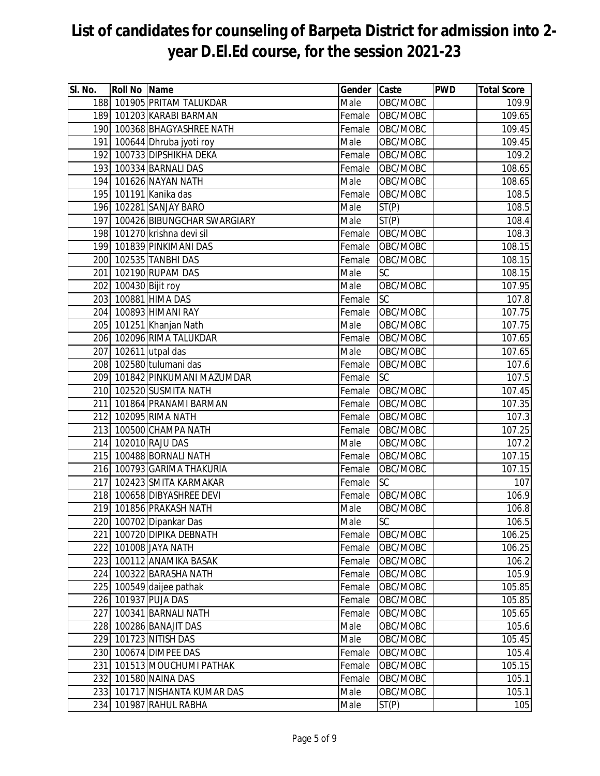| SI. No. | <b>Roll No Name</b>  |                                 | Gender | Caste              | <b>PWD</b> | <b>Total Score</b> |
|---------|----------------------|---------------------------------|--------|--------------------|------------|--------------------|
|         |                      | 188 101905 PRITAM TALUKDAR      | Male   | OBC/MOBC           |            | 109.9              |
|         |                      | 189 101203 KARABI BARMAN        | Female | OBC/MOBC           |            | 109.65             |
|         |                      | 190 100368 BHAGYASHREE NATH     | Female | OBC/MOBC           |            | 109.45             |
|         |                      | 191 100644 Dhruba jyoti roy     | Male   | OBC/MOBC           |            | 109.45             |
|         |                      | 192 100733 DIPSHIKHA DEKA       | Female | OBC/MOBC           |            | 109.2              |
|         |                      | 193 100334 BARNALI DAS          | Female | OBC/MOBC           |            | 108.65             |
|         |                      | 194 101626 NAYAN NATH           | Male   | OBC/MOBC           |            | 108.65             |
|         |                      | 195 101191 Kanika das           | Female | OBC/MOBC           |            | 108.5              |
|         |                      | 196 102281 SANJAY BARO          | Male   | $\overline{ST(P)}$ |            | $\overline{108.5}$ |
|         |                      | 197 100426 BIBUNGCHAR SWARGIARY | Male   | ST(P)              |            | 108.4              |
|         |                      | 198 101270 krishna devi sil     | Female | OBC/MOBC           |            | 108.3              |
|         |                      | 199 101839 PINKIMANI DAS        | Female | OBC/MOBC           |            | 108.15             |
|         |                      | 200 102535 TANBHI DAS           | Female | OBC/MOBC           |            | 108.15             |
|         |                      | 201 102190 RUPAM DAS            | Male   | SC                 |            | 108.15             |
|         | 202 100430 Bijit roy |                                 | Male   | OBC/MOBC           |            | 107.95             |
|         |                      | 203 100881 HIMA DAS             | Female | <b>SC</b>          |            | 107.8              |
|         |                      | 204 100893 HIMANI RAY           | Female | OBC/MOBC           |            | 107.75             |
|         |                      | 205 101251 Khanjan Nath         | Male   | OBC/MOBC           |            | 107.75             |
|         |                      | 206 102096 RIMA TALUKDAR        | Female | OBC/MOBC           |            | 107.65             |
|         |                      | 207 102611 utpal das            | Male   | OBC/MOBC           |            | 107.65             |
|         |                      | 208 102580 tulumani das         | Female | OBC/MOBC           |            | 107.6              |
|         |                      | 209 101842 PINKUMANI MAZUMDAR   | Female | <b>SC</b>          |            | 107.5              |
|         |                      | 210 102520 SUSMITA NATH         | Female | OBC/MOBC           |            | 107.45             |
|         |                      | 211 101864 PRANAMI BARMAN       | Female | OBC/MOBC           |            | 107.35             |
|         |                      | 212 102095 RIMA NATH            | Female | OBC/MOBC           |            | 107.3              |
|         |                      | 213 100500 CHAMPA NATH          | Female | OBC/MOBC           |            | 107.25             |
|         |                      | 214 102010 RAJU DAS             | Male   | OBC/MOBC           |            | 107.2              |
|         |                      | 215 100488 BORNALI NATH         | Female | OBC/MOBC           |            | 107.15             |
|         |                      | 216 100793 GARIMA THAKURIA      | Female | OBC/MOBC           |            | 107.15             |
| 217     |                      | 102423 SMITA KARMAKAR           | Female | <b>ISC</b>         |            | 107                |
|         |                      | 218 100658 DIBYASHREE DEVI      | Female | OBC/MOBC           |            | 106.9              |
|         |                      | 219 101856 PRAKASH NATH         | Male   | OBC/MOBC           |            | 106.8              |
|         |                      | 220 100702 Dipankar Das         | Male   | SC                 |            | 106.5              |
| 221     |                      | 100720 DIPIKA DEBNATH           | Female | OBC/MOBC           |            | 106.25             |
|         |                      | 222 101008 JAYA NATH            | Female | OBC/MOBC           |            | 106.25             |
|         |                      | 223 100112 ANAMIKA BASAK        | Female | OBC/MOBC           |            | 106.2              |
|         |                      | 224 100322 BARASHA NATH         | Female | OBC/MOBC           |            | 105.9              |
|         |                      | 225 100549 daijee pathak        | Female | OBC/MOBC           |            | 105.85             |
|         |                      | 226 101937 PUJA DAS             | Female | OBC/MOBC           |            | 105.85             |
| 227     |                      | 100341 BARNALI NATH             | Female | OBC/MOBC           |            | 105.65             |
| 228     |                      | 100286 BANAJIT DAS              | Male   | OBC/MOBC           |            | 105.6              |
| 229     |                      | 101723 NITISH DAS               | Male   | OBC/MOBC           |            | 105.45             |
| 230     |                      | 100674 DIMPEE DAS               | Female | OBC/MOBC           |            | 105.4              |
| 231     |                      | 101513 MOUCHUMI PATHAK          | Female | OBC/MOBC           |            | 105.15             |
| 232     |                      | 101580 NAINA DAS                | Female | OBC/MOBC           |            | 105.1              |
| 233     |                      | 101717 NISHANTA KUMAR DAS       | Male   | OBC/MOBC           |            | 105.1              |
| 234     |                      | 101987 RAHUL RABHA              | Male   | ST(P)              |            | 105                |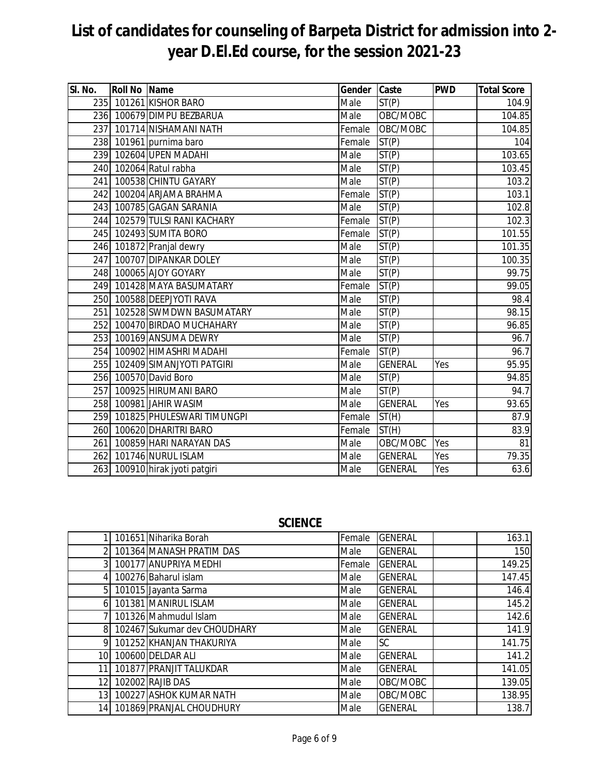| SI. No. | <b>Roll No Name</b> |                                | Gender | Caste              | <b>PWD</b> | <b>Total Score</b> |
|---------|---------------------|--------------------------------|--------|--------------------|------------|--------------------|
|         |                     | 235 101261 KISHOR BARO         | Male   | ST(P)              |            | 104.9              |
|         |                     | 236 100679 DIMPU BEZBARUA      | Male   | OBC/MOBC           |            | 104.85             |
|         |                     | 237 101714 NISHAMANI NATH      | Female | OBC/MOBC           |            | 104.85             |
|         |                     | 238 101961 purnima baro        | Female | ST(P)              |            | 104                |
|         |                     | 239 102604 UPEN MADAHI         | Male   | ST(P)              |            | 103.65             |
|         |                     | 240 102064 Ratul rabha         | Male   | $\overline{ST(P)}$ |            | 103.45             |
|         |                     | 241 100538 CHINTU GAYARY       | Male   | ST(P)              |            | 103.2              |
|         |                     | 242 100204 ARJAMA BRAHMA       | Female | ST(P)              |            | 103.1              |
|         |                     | 243 100785 GAGAN SARANIA       | Male   | ST(P)              |            | 102.8              |
| 244     |                     | 102579 TULSI RANI KACHARY      | Female | ST(P)              |            | 102.3              |
|         |                     | 245 102493 SUMITA BORO         | Female | ST(P)              |            | 101.55             |
|         |                     | 246 101872 Pranjal dewry       | Male   | $\overline{ST}(P)$ |            | 101.35             |
|         |                     | 247 100707 DIPANKAR DOLEY      | Male   | ST(P)              |            | 100.35             |
|         |                     | 248 100065 AJOY GOYARY         | Male   | $\overline{ST}(P)$ |            | 99.75              |
|         |                     | 249 101428 MAYA BASUMATARY     | Female | ST(P)              |            | 99.05              |
|         |                     | 250 100588 DEEPJYOTI RAVA      | Male   | ST(P)              |            | 98.4               |
|         |                     | 251 102528 SWMDWN BASUMATARY   | Male   | ST(P)              |            | 98.15              |
|         |                     | 252 100470 BIRDAO MUCHAHARY    | Male   | ST(P)              |            | 96.85              |
|         |                     | 253 100169 ANSUMA DEWRY        | Male   | ST(P)              |            | 96.7               |
|         |                     | 254 100902 HIMASHRI MADAHI     | Female | ST(P)              |            | 96.7               |
|         |                     | 255 102409 SIMANJYOTI PATGIRI  | Male   | <b>GENERAL</b>     | Yes        | 95.95              |
|         |                     | 256 100570 David Boro          | Male   | ST(P)              |            | 94.85              |
| 257     |                     | 100925 HIRUMANI BARO           | Male   | ST(P)              |            | 94.7               |
|         |                     | 258 100981 JAHIR WASIM         | Male   | <b>GENERAL</b>     | Yes        | 93.65              |
|         |                     | 259 101825 PHULESWARI TIMUNGPI | Female | ST(H)              |            | 87.9               |
|         |                     | 260 100620 DHARITRI BARO       | Female | ST(H)              |            | 83.9               |
| 261     |                     | 100859 HARI NARAYAN DAS        | Male   | OBC/MOBC           | Yes        | 81                 |
|         |                     | 262 101746 NURUL ISLAM         | Male   | <b>GENERAL</b>     | Yes        | 79.35              |
|         |                     | 263 100910 hirak jyoti patgiri | Male   | <b>GENERAL</b>     | Yes        | 63.6               |

#### **SCIENCE**

|                 | 101651 Niharika Borah        | Female | <b>GENERAL</b> | 163.1  |
|-----------------|------------------------------|--------|----------------|--------|
| 21              | 101364 MANASH PRATIM DAS     | Male   | <b>GENERAL</b> | 150    |
| 31              | 100177 ANUPRIYA MEDHI        | Female | <b>GENERAL</b> | 149.25 |
|                 | 100276 Baharul islam         | Male   | <b>GENERAL</b> | 147.45 |
| 51              | 101015 Jayanta Sarma         | Male   | <b>GENERAL</b> | 146.4  |
| 61              | 101381 MANIRUL ISLAM         | Male   | <b>GENERAL</b> | 145.2  |
|                 | 101326 Mahmudul Islam        | Male   | <b>GENERAL</b> | 142.6  |
| 8I              | 102467 Sukumar dev CHOUDHARY | Male   | <b>GENERAL</b> | 141.9  |
| 9l              | 101252 KHANJAN THAKURIYA     | Male   | <b>SC</b>      | 141.75 |
| 10 <sup>1</sup> | 100600 DELDAR ALI            | Male   | <b>GENERAL</b> | 141.2  |
| 11              | 101877 PRANJIT TALUKDAR      | Male   | <b>GENERAL</b> | 141.05 |
| 12 <sup>1</sup> | 102002 RAJIB DAS             | Male   | OBC/MOBC       | 139.05 |
| 13              | 100227 ASHOK KUMAR NATH      | Male   | OBC/MOBC       | 138.95 |
| 14              | 101869 PRANJAL CHOUDHURY     | Male   | <b>GENERAL</b> | 138.7  |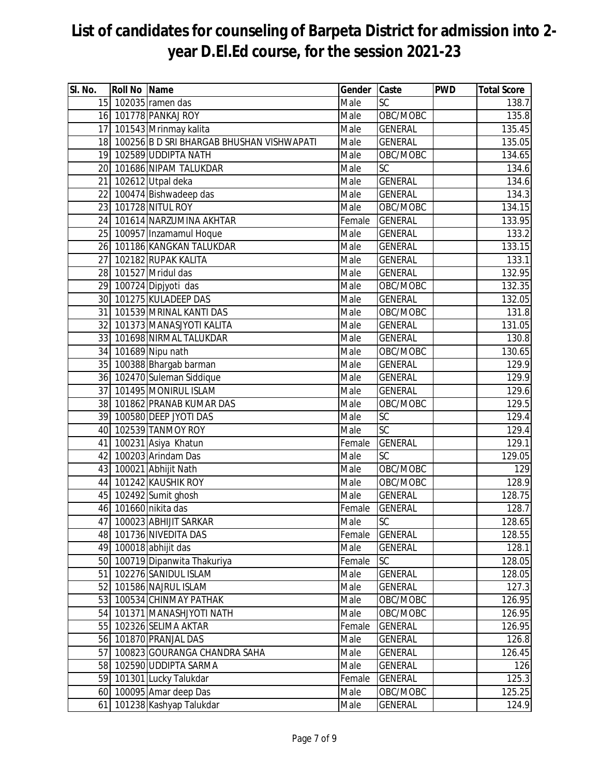| SI. No. | Roll No Name |                                              | Gender      | Caste           | <b>PWD</b> | <b>Total Score</b> |
|---------|--------------|----------------------------------------------|-------------|-----------------|------------|--------------------|
|         |              | 15 102035 ramen das                          | Male        | $\overline{SC}$ |            | 138.7              |
|         |              | 16 101778 PANKAJ ROY                         | Male        | OBC/MOBC        |            | 135.8              |
| 17      |              | 101543 Mrinmay kalita                        | Male        | <b>GENERAL</b>  |            | 135.45             |
|         |              | 18 100256 B D SRI BHARGAB BHUSHAN VISHWAPATI | Male        | <b>GENERAL</b>  |            | 135.05             |
|         |              | 19 102589 UDDIPTA NATH                       | Male        | OBC/MOBC        |            | 134.65             |
|         |              | 20 101686 NIPAM TALUKDAR                     | Male        | <b>SC</b>       |            | 134.6              |
| 21      |              | 102612 Utpal deka                            | Male        | <b>GENERAL</b>  |            | 134.6              |
|         |              | 22 100474 Bishwadeep das                     | Male        | <b>GENERAL</b>  |            | 134.3              |
|         |              | 23 101728 NITUL ROY                          | Male        | OBC/MOBC        |            | 134.15             |
|         |              | 24 101614 NARZUMINA AKHTAR                   | Female      | <b>GENERAL</b>  |            | 133.95             |
|         |              | 25 100957 Inzamamul Hoque                    | Male        | <b>GENERAL</b>  |            | 133.2              |
| 26      |              | 101186 KANGKAN TALUKDAR                      | Male        | <b>GENERAL</b>  |            | 133.15             |
| 27      |              | 102182 RUPAK KALITA                          | Male        | <b>GENERAL</b>  |            | 133.1              |
|         |              | 28 101527 Mridul das                         | Male        | <b>GENERAL</b>  |            | 132.95             |
|         |              | 29 100724 Dipjyoti das                       | Male        | OBC/MOBC        |            | 132.35             |
|         |              | 30 101275 KULADEEP DAS                       | Male        | <b>GENERAL</b>  |            | 132.05             |
|         |              | 31 101539 MRINAL KANTI DAS                   | Male        | OBC/MOBC        |            | 131.8              |
|         |              | 32 101373 MANASJYOTI KALITA                  | Male        | <b>GENERAL</b>  |            | 131.05             |
|         |              | 33 101698 NIRMAL TALUKDAR                    | Male        | <b>GENERAL</b>  |            | 130.8              |
|         |              | 34 101689 Nipu nath                          | Male        | OBC/MOBC        |            | 130.65             |
| 35      |              | 100388 Bhargab barman                        | Male        | <b>GENERAL</b>  |            | 129.9              |
|         |              | 36 102470 Suleman Siddique                   | Male        | <b>GENERAL</b>  |            | 129.9              |
| 37      |              | 101495 MONIRUL ISLAM                         | Male        | <b>GENERAL</b>  |            | 129.6              |
|         |              | 38 101862 PRANAB KUMAR DAS                   | Male        | OBC/MOBC        |            | 129.5              |
| 39      |              | 100580 DEEP JYOTI DAS                        | Male        | SC              |            | 129.4              |
| 40      |              | 102539 TANMOY ROY                            | Male        | <b>SC</b>       |            | 129.4              |
| 41      |              | 100231 Asiya Khatun                          | Female      | <b>GENERAL</b>  |            | 129.1              |
| 42      |              | 100203 Arindam Das                           | Male        | <b>SC</b>       |            | 129.05             |
| 43      |              | 100021 Abhijit Nath                          | Male        | OBC/MOBC        |            | 129                |
| 44      |              | 101242 KAUSHIK ROY                           | Male        | OBC/MOBC        |            | 128.9              |
|         |              | 45 102492 Sumit ghosh                        | Male        | <b>GENERAL</b>  |            | 128.75             |
|         |              | 46 101660 nikita das                         | Female      | <b>GENERAL</b>  |            | 128.7              |
|         |              | 47 100023 ABHIJIT SARKAR                     | <b>Male</b> | SC              |            | 128.65             |
|         |              | 48 101736 NIVEDITA DAS                       | Female      | <b>GENERAL</b>  |            | 128.55             |
|         |              | 49 100018 abhijit das                        | Male        | <b>GENERAL</b>  |            | 128.1              |
|         |              | 50 100719 Dipanwita Thakuriya                | Female      | <b>SC</b>       |            | 128.05             |
|         |              | 51 102276 SANIDUL ISLAM                      | Male        | <b>GENERAL</b>  |            | 128.05             |
|         |              | 52 101586 NAJRUL ISLAM                       | Male        | <b>GENERAL</b>  |            | 127.3              |
|         |              | 53 100534 CHINMAY PATHAK                     | Male        | OBC/MOBC        |            | 126.95             |
|         |              | 54 101371 MANASHJYOTI NATH                   | Male        | OBC/MOBC        |            | 126.95             |
|         |              | 55 102326 SELIMA AKTAR                       | Female      | <b>GENERAL</b>  |            | 126.95             |
| 56      |              | 101870 PRANJAL DAS                           | Male        | <b>GENERAL</b>  |            | 126.8              |
| 57      |              | 100823 GOURANGA CHANDRA SAHA                 | Male        | <b>GENERAL</b>  |            | 126.45             |
|         |              | 58 102590 UDDIPTA SARMA                      | Male        | <b>GENERAL</b>  |            | 126                |
|         |              | 59 101301 Lucky Talukdar                     | Female      | <b>GENERAL</b>  |            | 125.3              |
|         |              | 60 100095 Amar deep Das                      | Male        | OBC/MOBC        |            | 125.25             |
| 61      |              | 101238 Kashyap Talukdar                      | Male        | <b>GENERAL</b>  |            | 124.9              |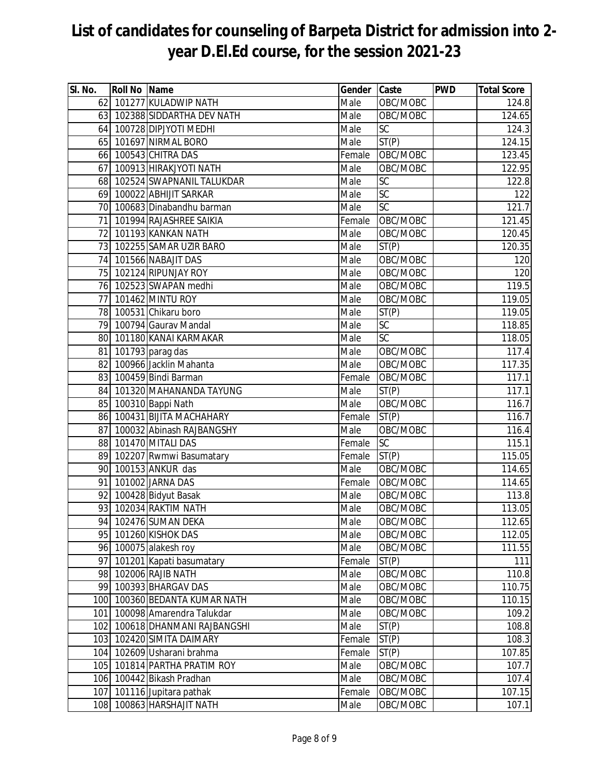| SI. No. | <b>Roll No Name</b> |                               | Gender | <b>Caste</b>    | <b>PWD</b> | <b>Total Score</b> |
|---------|---------------------|-------------------------------|--------|-----------------|------------|--------------------|
|         |                     | 62 101277 KULADWIP NATH       | Male   | OBC/MOBC        |            | 124.8              |
|         |                     | 63 102388 SIDDARTHA DEV NATH  | Male   | OBC/MOBC        |            | 124.65             |
|         |                     | 64 100728 DIPJYOTI MEDHI      | Male   | SC              |            | 124.3              |
|         |                     | 65 101697 NIRMAL BORO         | Male   | ST(P)           |            | 124.15             |
|         |                     | 66 100543 CHITRA DAS          | Female | OBC/MOBC        |            | 123.45             |
|         |                     | 67 100913 HIRAKJYOTI NATH     | Male   | OBC/MOBC        |            | 122.95             |
|         |                     | 68 102524 SWAPNANIL TALUKDAR  | Male   | SC              |            | 122.8              |
|         |                     | 69 100022 ABHIJIT SARKAR      | Male   | $\overline{SC}$ |            | 122                |
|         |                     | 70 100683 Dinabandhu barman   | Male   | SC              |            | 121.7              |
| 71      |                     | 101994 RAJASHREE SAIKIA       | Female | OBC/MOBC        |            | 121.45             |
| 72      |                     | 101193 KANKAN NATH            | Male   | OBC/MOBC        |            | 120.45             |
| 73      |                     | 102255 SAMAR UZIR BARO        | Male   | ST(P)           |            | 120.35             |
| 74      |                     | 101566 NABAJIT DAS            | Male   | OBC/MOBC        |            | 120                |
|         |                     | 75 102124 RIPUNJAY ROY        | Male   | OBC/MOBC        |            | 120                |
|         |                     | 76 102523 SWAPAN medhi        | Male   | OBC/MOBC        |            | 119.5              |
| 77      |                     | 101462 MINTU ROY              | Male   | OBC/MOBC        |            | 119.05             |
|         |                     | 78 100531 Chikaru boro        | Male   | ST(P)           |            | 119.05             |
|         |                     | 79 100794 Gaurav Mandal       | Male   | <b>SC</b>       |            | 118.85             |
|         |                     | 80 101180 KANAI KARMAKAR      | Male   | SC              |            | 118.05             |
|         |                     | 81 101793 parag das           | Male   | OBC/MOBC        |            | 117.4              |
| 82      |                     | 100966 Jacklin Mahanta        | Male   | OBC/MOBC        |            | 117.35             |
|         |                     | 83 100459 Bindi Barman        | Female | OBC/MOBC        |            | 117.1              |
|         |                     | 84 101320 MAHANANDA TAYUNG    | Male   | ST(P)           |            | 117.1              |
|         |                     | 85 100310 Bappi Nath          | Male   | OBC/MOBC        |            | 116.7              |
|         |                     | 86 100431 BIJITA MACHAHARY    | Female | ST(P)           |            | 116.7              |
| 87      |                     | 100032 Abinash RAJBANGSHY     | Male   | OBC/MOBC        |            | 116.4              |
|         |                     | 88 101470 MITALI DAS          | Female | <b>SC</b>       |            | 115.1              |
|         |                     | 89 102207 Rwmwi Basumatary    | Female | ST(P)           |            | 115.05             |
| 90      |                     | 100153 ANKUR das              | Male   | OBC/MOBC        |            | 114.65             |
| 91      |                     | 101002 JARNA DAS              | Female | OBC/MOBC        |            | 114.65             |
| 92      |                     | 100428 Bidyut Basak           | Male   | OBC/MOBC        |            | 113.8              |
| 93      |                     | 102034 RAKTIM NATH            | Male   | OBC/MOBC        |            | 113.05             |
|         |                     | 94 102476 SUMAN DEKA          | Male   | OBC/MOBC        |            | 112.65             |
| 95      |                     | 101260 KISHOK DAS             | Male   | OBC/MOBC        |            | 112.05             |
|         |                     | 96 100075 alakesh roy         | Male   | OBC/MOBC        |            | 111.55             |
| 97      |                     | 101201 Kapati basumatary      | Female | ST(P)           |            | 111                |
|         |                     | 98 102006 RAJIB NATH          | Male   | OBC/MOBC        |            | 110.8              |
| 99      |                     | 100393 BHARGAV DAS            | Male   | OBC/MOBC        |            | 110.75             |
| 100     |                     | 100360 BEDANTA KUMAR NATH     | Male   | OBC/MOBC        |            | 110.15             |
|         |                     | 101 100098 Amarendra Talukdar | Male   | OBC/MOBC        |            | 109.2              |
| 102     |                     | 100618 DHANMANI RAJBANGSHI    | Male   | ST(P)           |            | 108.8              |
| 103     |                     | 102420 SIMITA DAIMARY         | Female | ST(P)           |            | 108.3              |
| 104     |                     | 102609 Usharani brahma        | Female | ST(P)           |            | 107.85             |
| 105     |                     | 101814 PARTHA PRATIM ROY      | Male   | OBC/MOBC        |            | 107.7              |
| 106     |                     | 100442 Bikash Pradhan         | Male   | OBC/MOBC        |            | 107.4              |
| 107     |                     | 101116 Jupitara pathak        | Female | OBC/MOBC        |            | 107.15             |
| 108     |                     | 100863 HARSHAJIT NATH         | Male   | OBC/MOBC        |            | 107.1              |